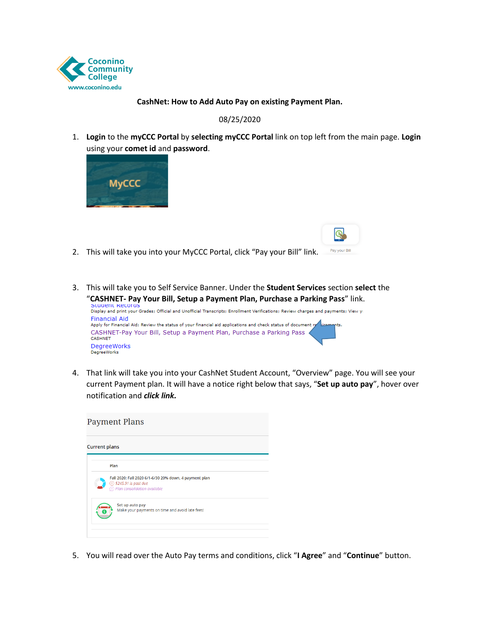

## **CashNet: How to Add Auto Pay on existing Payment Plan.**

## 08/25/2020

1. **Login** to the **myCCC Portal** by **selecting myCCC Portal** link on top left from the main page. **Login**  using your **comet id** and **password**.

 $\circledR$ 



- Pay your Bill 2. This will take you into your MyCCC Portal, click "Pay your Bill" link.
- 3. This will take you to Self Service Banner. Under the **Student Services** section **select** the "**CASHNET- Pay Your Bill, Setup a Payment Plan, Purchase a Parking Pass**" link.



 4. That link will take you into your CashNet Student Account, "Overview" page. You will see your current Payment plan. It will have a notice right below that says, "**Set up auto pay**", hover over notification and *click link.* 



5. You will read over the Auto Pay terms and conditions, click "**I Agree**" and "**Continue**" button.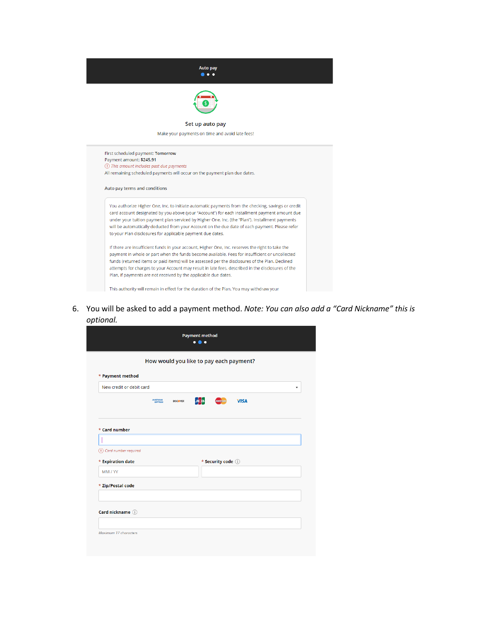

First scheduled payment: Tomorrow Payment amount: \$245.91 1 This amount includes past due payments All remaining scheduled payments will occur on the payment plan due dates. Auto pay terms and conditions

You authorize Higher One, Inc. to initiate automatic payments from the checking, savings or credit card account designated by you above (your "Account") for each installment payment amount due under your tuition payment plan serviced by Higher One, Inc. (the "Plan"). Installment payments will be automatically deducted from your Account on the due date of each payment. Please refer to your Plan disclosures for applicable payment due dates.

If there are insufficient funds in your account, Higher One, Inc. reserves the right to take the payment in whole or part when the funds become available. Fees for insufficient or uncollected funds (returned items or paid items) will be assessed per the disclosures of the Plan. Declined attempts for charges to your Account may result in late fees, described in the disclosures of the Plan, if payments are not received by the applicable due dates.

This authority will remain in effect for the duration of the Plan. You may withdraw your

6. You will be asked to add a payment method. Note: You can also add a "Card Nickname" this is optional.

|                          |                     |                 |     |                     | How would you like to pay each payment? |   |
|--------------------------|---------------------|-----------------|-----|---------------------|-----------------------------------------|---|
| * Payment method         |                     |                 |     |                     |                                         |   |
| New credit or debit card |                     |                 |     |                     |                                         | ٠ |
|                          | AMERICAN<br>EXPRESS | <b>DISCOVER</b> | Jсв | <b>MasterCard</b>   | <b>VISA</b>                             |   |
|                          |                     |                 |     |                     |                                         |   |
|                          |                     |                 |     |                     |                                         |   |
| * Card number            |                     |                 |     |                     |                                         |   |
|                          |                     |                 |     |                     |                                         |   |
| (1) Card number required |                     |                 |     |                     |                                         |   |
| * Expiration date        |                     |                 |     | * Security code (i) |                                         |   |
| MM / YY                  |                     |                 |     |                     |                                         |   |
| * Zip/Postal code        |                     |                 |     |                     |                                         |   |
|                          |                     |                 |     |                     |                                         |   |
|                          |                     |                 |     |                     |                                         |   |
| Card nickname (i)        |                     |                 |     |                     |                                         |   |
|                          |                     |                 |     |                     |                                         |   |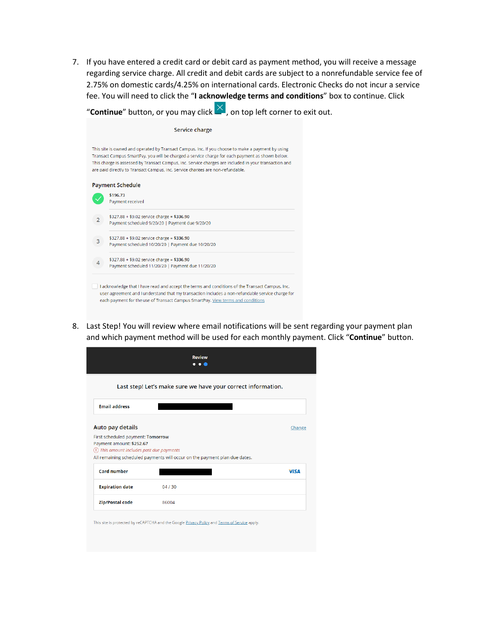7. If you have entered a credit card or debit card as payment method, you will receive a message regarding service charge. All credit and debit cards are subject to a nonrefundable service fee of 2.75% on domestic cards/4.25% on international cards. Electronic Checks do not incur a service fee. You will need to click the "**I acknowledge terms and conditions**" box to continue. Click

"**Continue**" button, or you may click  $\blacksquare$ , on top left corner to exit out.

| Service charge                                                                                                                                                                                                                                                                                                                                                                                  |                                                                                                                                                                                                                                                                                        |  |  |  |  |
|-------------------------------------------------------------------------------------------------------------------------------------------------------------------------------------------------------------------------------------------------------------------------------------------------------------------------------------------------------------------------------------------------|----------------------------------------------------------------------------------------------------------------------------------------------------------------------------------------------------------------------------------------------------------------------------------------|--|--|--|--|
| This site is owned and operated by Transact Campus, Inc. If you choose to make a payment by using<br>Transact Campus SmartPay, you will be charged a service charge for each payment as shown below.<br>This charge is assessed by Transact Campus, Inc. Service charges are included in your transaction and<br>are paid directly to Transact Campus, Inc. Service charges are non-refundable. |                                                                                                                                                                                                                                                                                        |  |  |  |  |
|                                                                                                                                                                                                                                                                                                                                                                                                 | <b>Payment Schedule</b>                                                                                                                                                                                                                                                                |  |  |  |  |
|                                                                                                                                                                                                                                                                                                                                                                                                 | \$196.73<br>Payment received                                                                                                                                                                                                                                                           |  |  |  |  |
| $\overline{2}$                                                                                                                                                                                                                                                                                                                                                                                  | $$327.88 + $9.02$ service charge = \$336.90<br>Payment scheduled 9/20/20   Payment due 9/20/20                                                                                                                                                                                         |  |  |  |  |
| 3                                                                                                                                                                                                                                                                                                                                                                                               | $$327.88 + $9.02$ service charge = \$336.90<br>Payment scheduled 10/20/20   Payment due 10/20/20                                                                                                                                                                                       |  |  |  |  |
|                                                                                                                                                                                                                                                                                                                                                                                                 | $$327.88 + $9.02$ service charge = \$336.90<br>Payment scheduled 11/20/20   Payment due 11/20/20                                                                                                                                                                                       |  |  |  |  |
|                                                                                                                                                                                                                                                                                                                                                                                                 | I acknowledge that I have read and accept the terms and conditions of the Transact Campus, Inc.<br>user agreement and I understand that my transaction includes a non-refundable service charge for<br>each payment for the use of Transact Campus SmartPay. View terms and conditions |  |  |  |  |

 8. Last Step! You will review where email notifications will be sent regarding your payment plan and which payment method will be used for each monthly payment. Click "**Continue**" button.

|                                                                        | Last step! Let's make sure we have your correct information.               |             |
|------------------------------------------------------------------------|----------------------------------------------------------------------------|-------------|
| <b>Email address</b>                                                   |                                                                            |             |
| Auto pay details                                                       |                                                                            | Change      |
|                                                                        |                                                                            |             |
| First scheduled payment: Tomorrow                                      |                                                                            |             |
| Payment amount: \$252.67<br>(1) This amount includes past due payments |                                                                            |             |
|                                                                        | All remaining scheduled payments will occur on the payment plan due dates. |             |
| <b>Card number</b>                                                     |                                                                            | <b>VISA</b> |
| <b>Expiration date</b>                                                 | 04/30                                                                      |             |